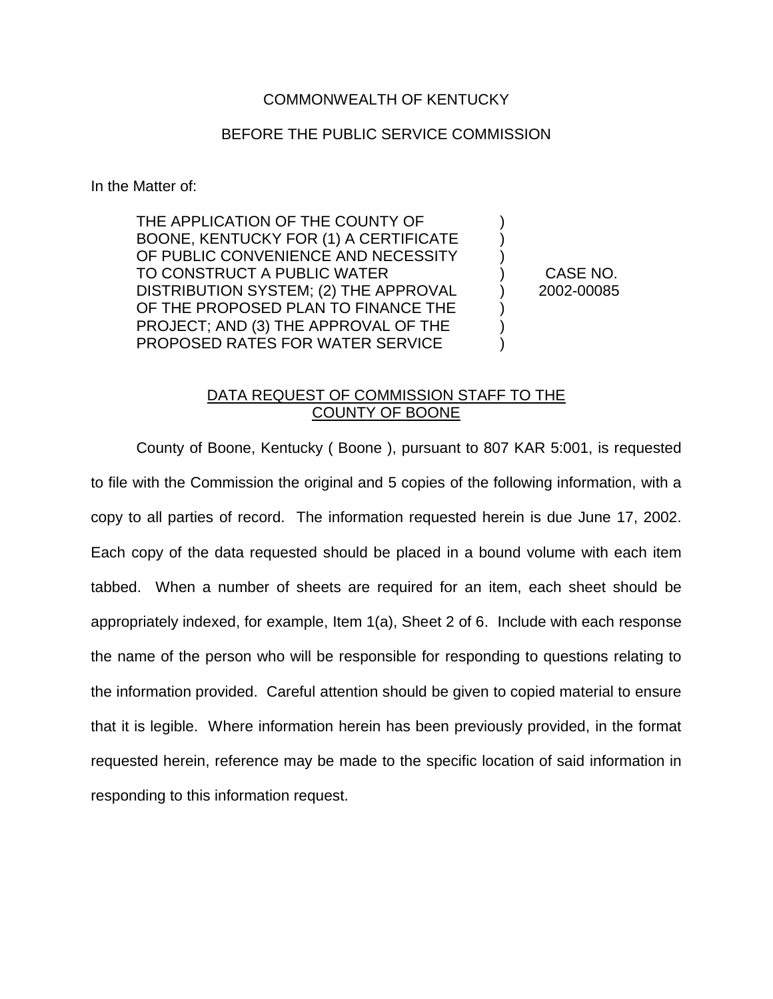## COMMONWEALTH OF KENTUCKY

## BEFORE THE PUBLIC SERVICE COMMISSION

In the Matter of:

THE APPLICATION OF THE COUNTY OF  $\qquad\qquad)$ BOONE, KENTUCKY FOR (1) A CERTIFICATE ) OF PUBLIC CONVENIENCE AND NECESSITY  $\qquad\qquad$ ) TO CONSTRUCT A PUBLIC WATER ) CASE NO. DISTRIBUTION SYSTEM; (2) THE APPROVAL (2) 2002-00085 OF THE PROPOSED PLAN TO FINANCE THE PROJECT; AND (3) THE APPROVAL OF THE  $)$ PROPOSED RATES FOR WATER SERVICE  $\qquad \qquad$  )

## DATA REQUEST OF COMMISSION STAFF TO THE COUNTY OF BOONE

County of Boone, Kentucky ( Boone ), pursuant to 807 KAR 5:001, is requested to file with the Commission the original and 5 copies of the following information, with a copy to all parties of record. The information requested herein is due June 17, 2002. Each copy of the data requested should be placed in a bound volume with each item tabbed. When a number of sheets are required for an item, each sheet should be appropriately indexed, for example, Item 1(a), Sheet 2 of 6. Include with each response the name of the person who will be responsible for responding to questions relating to the information provided. Careful attention should be given to copied material to ensure that it is legible. Where information herein has been previously provided, in the format requested herein, reference may be made to the specific location of said information in responding to this information request.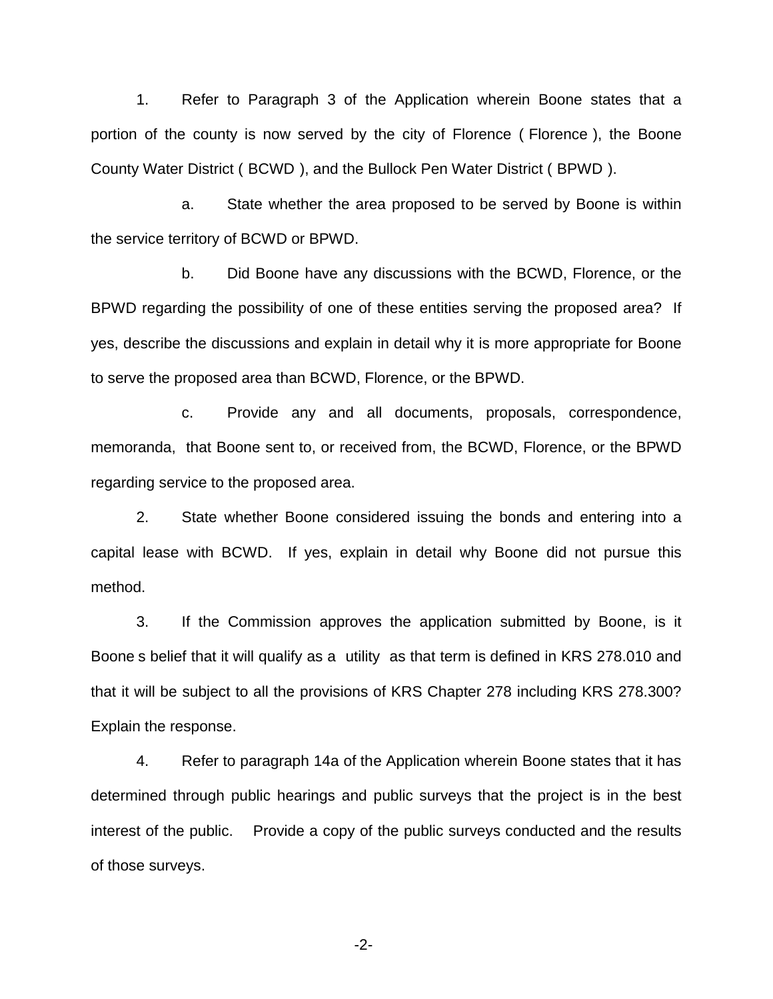1. Refer to Paragraph 3 of the Application wherein Boone states that a portion of the county is now served by the city of Florence ( Florence ), the Boone County Water District ( BCWD ), and the Bullock Pen Water District ( BPWD ).

a. State whether the area proposed to be served by Boone is within the service territory of BCWD or BPWD.

b. Did Boone have any discussions with the BCWD, Florence, or the BPWD regarding the possibility of one of these entities serving the proposed area? If yes, describe the discussions and explain in detail why it is more appropriate for Boone to serve the proposed area than BCWD, Florence, or the BPWD.

c. Provide any and all documents, proposals, correspondence, memoranda, that Boone sent to, or received from, the BCWD, Florence, or the BPWD regarding service to the proposed area.

2. State whether Boone considered issuing the bonds and entering into a capital lease with BCWD. If yes, explain in detail why Boone did not pursue this method.

3. If the Commission approves the application submitted by Boone, is it Boone s belief that it will qualify as a utility as that term is defined in KRS 278.010 and that it will be subject to all the provisions of KRS Chapter 278 including KRS 278.300? Explain the response.

4. Refer to paragraph 14a of the Application wherein Boone states that it has determined through public hearings and public surveys that the project is in the best interest of the public. Provide a copy of the public surveys conducted and the results of those surveys.

-2-